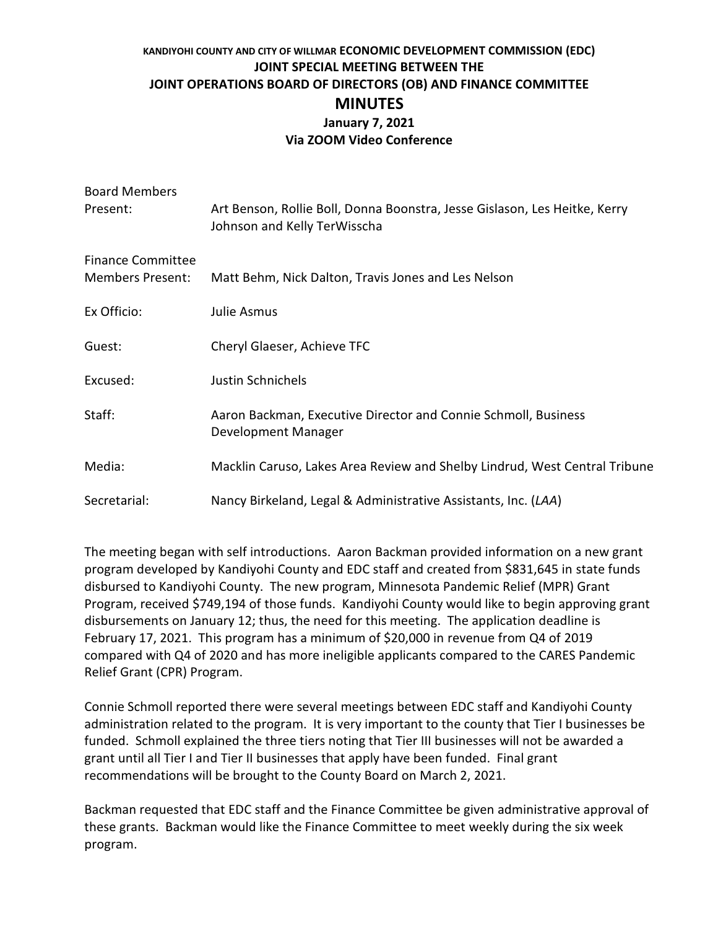## **KANDIYOHI COUNTY AND CITY OF WILLMAR ECONOMIC DEVELOPMENT COMMISSION (EDC) JOINT SPECIAL MEETING BETWEEN THE JOINT OPERATIONS BOARD OF DIRECTORS (OB) AND FINANCE COMMITTEE MINUTES January 7, 2021 Via ZOOM Video Conference**

| <b>Board Members</b>     |                                                                                                            |
|--------------------------|------------------------------------------------------------------------------------------------------------|
| Present:                 | Art Benson, Rollie Boll, Donna Boonstra, Jesse Gislason, Les Heitke, Kerry<br>Johnson and Kelly TerWisscha |
| <b>Finance Committee</b> |                                                                                                            |
| <b>Members Present:</b>  | Matt Behm, Nick Dalton, Travis Jones and Les Nelson                                                        |
| Ex Officio:              | <b>Julie Asmus</b>                                                                                         |
| Guest:                   | Cheryl Glaeser, Achieve TFC                                                                                |
| Excused:                 | Justin Schnichels                                                                                          |
| Staff:                   | Aaron Backman, Executive Director and Connie Schmoll, Business<br>Development Manager                      |
| Media:                   | Macklin Caruso, Lakes Area Review and Shelby Lindrud, West Central Tribune                                 |
| Secretarial:             | Nancy Birkeland, Legal & Administrative Assistants, Inc. (LAA)                                             |

The meeting began with self introductions. Aaron Backman provided information on a new grant program developed by Kandiyohi County and EDC staff and created from \$831,645 in state funds disbursed to Kandiyohi County. The new program, Minnesota Pandemic Relief (MPR) Grant Program, received \$749,194 of those funds. Kandiyohi County would like to begin approving grant disbursements on January 12; thus, the need for this meeting. The application deadline is February 17, 2021. This program has a minimum of \$20,000 in revenue from Q4 of 2019 compared with Q4 of 2020 and has more ineligible applicants compared to the CARES Pandemic Relief Grant (CPR) Program.

Connie Schmoll reported there were several meetings between EDC staff and Kandiyohi County administration related to the program. It is very important to the county that Tier I businesses be funded. Schmoll explained the three tiers noting that Tier III businesses will not be awarded a grant until all Tier I and Tier II businesses that apply have been funded. Final grant recommendations will be brought to the County Board on March 2, 2021.

Backman requested that EDC staff and the Finance Committee be given administrative approval of these grants. Backman would like the Finance Committee to meet weekly during the six week program.